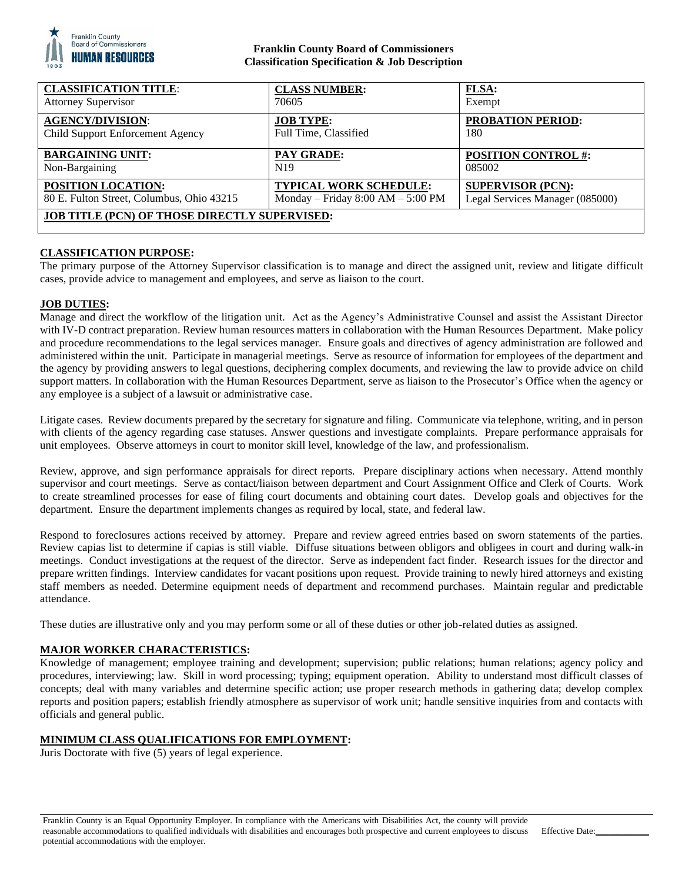

# **Franklin County Board of Commissioners Classification Specification & Job Description**

| <b>CLASSIFICATION TITLE:</b>                         | <b>CLASS NUMBER:</b>                | <b>FLSA:</b>                    |
|------------------------------------------------------|-------------------------------------|---------------------------------|
| <b>Attorney Supervisor</b>                           | 70605                               | Exempt                          |
| <b>AGENCY/DIVISION:</b>                              | <b>JOB TYPE:</b>                    | <b>PROBATION PERIOD:</b>        |
| Child Support Enforcement Agency                     | Full Time, Classified               | 180                             |
| <b>BARGAINING UNIT:</b>                              | <b>PAY GRADE:</b>                   | <b>POSITION CONTROL #:</b>      |
| Non-Bargaining                                       | N <sub>19</sub>                     | 085002                          |
| <b>POSITION LOCATION:</b>                            | TYPICAL WORK SCHEDULE:              | <b>SUPERVISOR (PCN):</b>        |
| 80 E. Fulton Street, Columbus, Ohio 43215            | Monday – Friday $8:00 AM - 5:00 PM$ | Legal Services Manager (085000) |
| <b>JOB TITLE (PCN) OF THOSE DIRECTLY SUPERVISED:</b> |                                     |                                 |

# **CLASSIFICATION PURPOSE:**

The primary purpose of the Attorney Supervisor classification is to manage and direct the assigned unit, review and litigate difficult cases, provide advice to management and employees, and serve as liaison to the court.

#### **JOB DUTIES:**

Manage and direct the workflow of the litigation unit. Act as the Agency's Administrative Counsel and assist the Assistant Director with IV-D contract preparation. Review human resources matters in collaboration with the Human Resources Department. Make policy and procedure recommendations to the legal services manager. Ensure goals and directives of agency administration are followed and administered within the unit. Participate in managerial meetings. Serve as resource of information for employees of the department and the agency by providing answers to legal questions, deciphering complex documents, and reviewing the law to provide advice on child support matters. In collaboration with the Human Resources Department, serve as liaison to the Prosecutor's Office when the agency or any employee is a subject of a lawsuit or administrative case.

Litigate cases. Review documents prepared by the secretary for signature and filing. Communicate via telephone, writing, and in person with clients of the agency regarding case statuses. Answer questions and investigate complaints. Prepare performance appraisals for unit employees. Observe attorneys in court to monitor skill level, knowledge of the law, and professionalism.

Review, approve, and sign performance appraisals for direct reports. Prepare disciplinary actions when necessary. Attend monthly supervisor and court meetings. Serve as contact/liaison between department and Court Assignment Office and Clerk of Courts. Work to create streamlined processes for ease of filing court documents and obtaining court dates. Develop goals and objectives for the department. Ensure the department implements changes as required by local, state, and federal law.

Respond to foreclosures actions received by attorney. Prepare and review agreed entries based on sworn statements of the parties. Review capias list to determine if capias is still viable. Diffuse situations between obligors and obligees in court and during walk-in meetings. Conduct investigations at the request of the director. Serve as independent fact finder. Research issues for the director and prepare written findings. Interview candidates for vacant positions upon request. Provide training to newly hired attorneys and existing staff members as needed. Determine equipment needs of department and recommend purchases. Maintain regular and predictable attendance.

These duties are illustrative only and you may perform some or all of these duties or other job-related duties as assigned.

#### **MAJOR WORKER CHARACTERISTICS:**

Knowledge of management; employee training and development; supervision; public relations; human relations; agency policy and procedures, interviewing; law. Skill in word processing; typing; equipment operation. Ability to understand most difficult classes of concepts; deal with many variables and determine specific action; use proper research methods in gathering data; develop complex reports and position papers; establish friendly atmosphere as supervisor of work unit; handle sensitive inquiries from and contacts with officials and general public.

# **MINIMUM CLASS QUALIFICATIONS FOR EMPLOYMENT:**

Juris Doctorate with five (5) years of legal experience.

Effective Date: